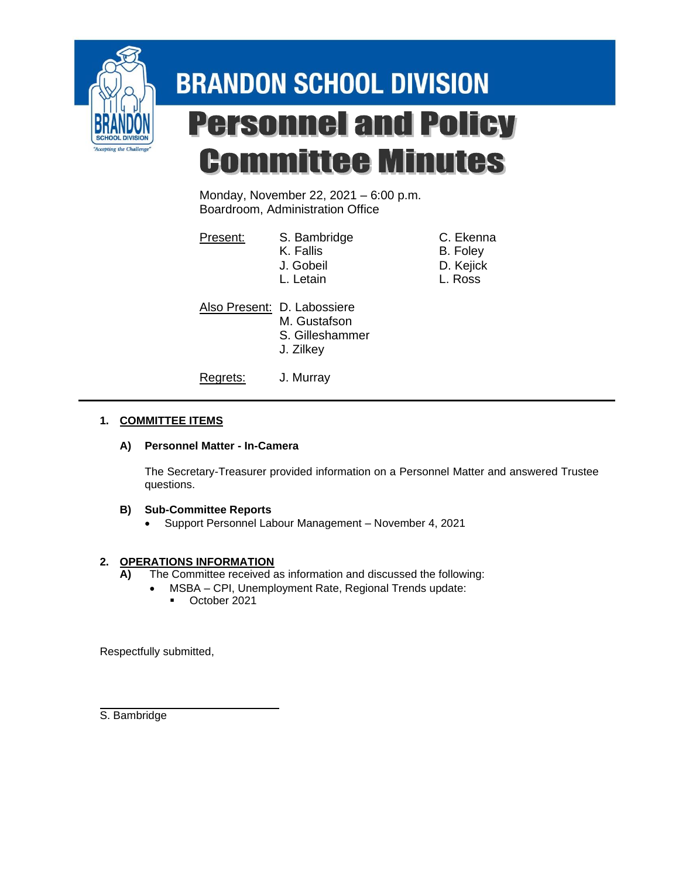

# **BRANDON SCHOOL DIVISION Personnel and Policy Committee Minutes**

Monday, November 22, 2021 – 6:00 p.m. Boardroom, Administration Office

| Present: | S. Bambridge<br>K. Fallis<br>J. Gobeil<br>L. Letain                         | C. Ekenna<br>B. Foley<br>D. Kejick<br>L. Ross |
|----------|-----------------------------------------------------------------------------|-----------------------------------------------|
|          | Also Present: D. Labossiere<br>M. Gustafson<br>S. Gilleshammer<br>J. Zilkey |                                               |
| Regrets: | J. Murray                                                                   |                                               |

### **1. COMMITTEE ITEMS**

#### **A) Personnel Matter - In-Camera**

The Secretary-Treasurer provided information on a Personnel Matter and answered Trustee questions.

#### **B) Sub-Committee Reports**

• Support Personnel Labour Management – November 4, 2021

#### **2. OPERATIONS INFORMATION**

- **A)** The Committee received as information and discussed the following:
	- MSBA CPI, Unemployment Rate, Regional Trends update:
		- October 2021

Respectfully submitted,

S. Bambridge